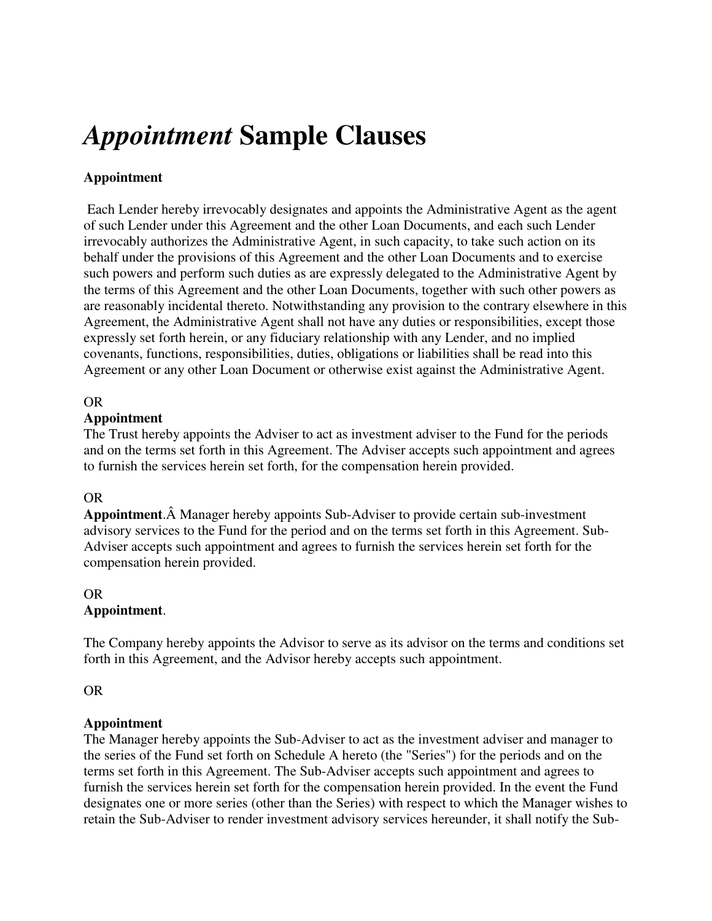# *Appointment* **Sample Clauses**

## **Appointment**

 Each Lender hereby irrevocably designates and appoints the Administrative Agent as the agent of such Lender under this Agreement and the other Loan Documents, and each such Lender irrevocably authorizes the Administrative Agent, in such capacity, to take such action on its behalf under the provisions of this Agreement and the other Loan Documents and to exercise such powers and perform such duties as are expressly delegated to the Administrative Agent by the terms of this Agreement and the other Loan Documents, together with such other powers as are reasonably incidental thereto. Notwithstanding any provision to the contrary elsewhere in this Agreement, the Administrative Agent shall not have any duties or responsibilities, except those expressly set forth herein, or any fiduciary relationship with any Lender, and no implied covenants, functions, responsibilities, duties, obligations or liabilities shall be read into this Agreement or any other Loan Document or otherwise exist against the Administrative Agent.

## OR

### **Appointment**

The Trust hereby appoints the Adviser to act as investment adviser to the Fund for the periods and on the terms set forth in this Agreement. The Adviser accepts such appointment and agrees to furnish the services herein set forth, for the compensation herein provided.

## OR

**Appointment**. Manager hereby appoints Sub-Adviser to provide certain sub-investment advisory services to the Fund for the period and on the terms set forth in this Agreement. Sub-Adviser accepts such appointment and agrees to furnish the services herein set forth for the compensation herein provided.

#### OR **Appointment**.

The Company hereby appoints the Advisor to serve as its advisor on the terms and conditions set forth in this Agreement, and the Advisor hereby accepts such appointment.

#### OR

#### **Appointment**

The Manager hereby appoints the Sub-Adviser to act as the investment adviser and manager to the series of the Fund set forth on Schedule A hereto (the "Series") for the periods and on the terms set forth in this Agreement. The Sub-Adviser accepts such appointment and agrees to furnish the services herein set forth for the compensation herein provided. In the event the Fund designates one or more series (other than the Series) with respect to which the Manager wishes to retain the Sub-Adviser to render investment advisory services hereunder, it shall notify the Sub-